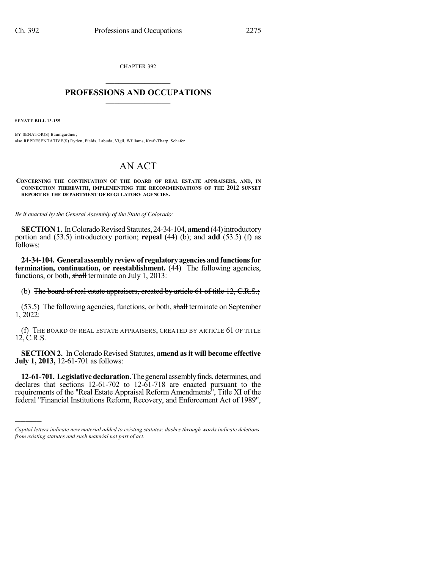CHAPTER 392  $\overline{\phantom{a}}$  . The set of the set of the set of the set of the set of the set of the set of the set of the set of the set of the set of the set of the set of the set of the set of the set of the set of the set of the set o

## **PROFESSIONS AND OCCUPATIONS**  $\frac{1}{2}$  ,  $\frac{1}{2}$  ,  $\frac{1}{2}$  ,  $\frac{1}{2}$  ,  $\frac{1}{2}$  ,  $\frac{1}{2}$

**SENATE BILL 13-155**

)))))

BY SENATOR(S) Baumgardner; also REPRESENTATIVE(S) Ryden, Fields, Labuda, Vigil, Williams, Kraft-Tharp, Schafer.

## AN ACT

**CONCERNING THE CONTINUATION OF THE BOARD OF REAL ESTATE APPRAISERS, AND, IN CONNECTION THEREWITH, IMPLEMENTING THE RECOMMENDATIONS OF THE 2012 SUNSET REPORT BY THE DEPARTMENT OF REGULATORY AGENCIES.**

*Be it enacted by the General Assembly of the State of Colorado:*

**SECTION 1.** In Colorado Revised Statutes, 24-34-104, **amend** (44) introductory portion and (53.5) introductory portion; **repeal** (44) (b); and **add** (53.5) (f) as follows:

**24-34-104. Generalassemblyreviewof regulatoryagenciesandfunctionsfor termination, continuation, or reestablishment.** (44) The following agencies, functions, or both, shall terminate on July 1, 2013:

(b) The board of real estate appraisers, created by article 61 of title 12, C.R.S.;

(53.5) The following agencies, functions, or both, shall terminate on September 1, 2022:

(f) THE BOARD OF REAL ESTATE APPRAISERS, CREATED BY ARTICLE 61 OF TITLE 12, C.R.S.

**SECTION 2.** In Colorado Revised Statutes, **amend asit will become effective July 1, 2013,** 12-61-701 as follows:

**12-61-701. Legislative declaration.** The general assembly finds, determines, and declares that sections 12-61-702 to 12-61-718 are enacted pursuant to the requirements of the "Real Estate Appraisal Reform Amendments", Title XI of the federal "Financial Institutions Reform, Recovery, and Enforcement Act of 1989",

*Capital letters indicate new material added to existing statutes; dashes through words indicate deletions from existing statutes and such material not part of act.*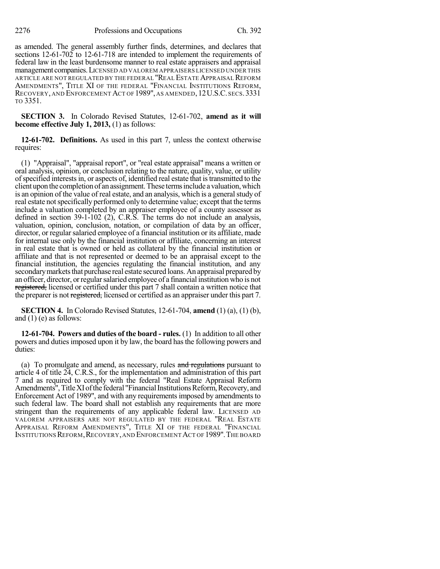as amended. The general assembly further finds, determines, and declares that sections 12-61-702 to 12-61-718 are intended to implement the requirements of federal law in the least burdensome manner to real estate appraisers and appraisal management companies.LICENSED AD VALOREM APPRAISERS LICENSED UNDER THIS ARTICLE ARE NOT REGULATED BY THE FEDERAL "REAL ESTATE APPRAISAL REFORM AMENDMENTS", TITLE XI OF THE FEDERAL "FINANCIAL INSTITUTIONS REFORM, RECOVERY, AND ENFORCEMENT ACT OF 1989", AS AMENDED,12U.S.C. SECS.3331 TO 3351.

**SECTION 3.** In Colorado Revised Statutes, 12-61-702, **amend as it will become effective July 1, 2013,** (1) as follows:

**12-61-702. Definitions.** As used in this part 7, unless the context otherwise requires:

(1) "Appraisal", "appraisal report", or "real estate appraisal" means a written or oral analysis, opinion, or conclusion relating to the nature, quality, value, or utility ofspecified interestsin, or aspects of, identified real estate that istransmitted to the client upon the completion of an assignment. These terms include a valuation, which is an opinion of the value of real estate, and an analysis, which is a general study of real estate notspecifically performed only to determine value; except that the terms include a valuation completed by an appraiser employee of a county assessor as defined in section 39-1-102 (2), C.R.S. The terms do not include an analysis, valuation, opinion, conclusion, notation, or compilation of data by an officer, director, or regular salaried employee of a financial institution or its affiliate, made for internal use only by the financial institution or affiliate, concerning an interest in real estate that is owned or held as collateral by the financial institution or affiliate and that is not represented or deemed to be an appraisal except to the financial institution, the agencies regulating the financial institution, and any secondary markets that purchase real estate secured loans. An appraisal prepared by an officer, director, orregularsalaried employee of a financial institution who is not registered, licensed or certified under this part 7 shall contain a written notice that the preparer is not registered, licensed or certified as an appraiser under this part 7.

**SECTION 4.** In Colorado Revised Statutes, 12-61-704, **amend** (1) (a), (1) (b), and  $(1)$  (e) as follows:

**12-61-704. Powers and duties of the board - rules.** (1) In addition to all other powers and dutiesimposed upon it by law, the board hasthe following powers and duties:

(a) To promulgate and amend, as necessary, rules and regulations pursuant to article 4 of title 24, C.R.S., for the implementation and administration of this part 7 and as required to comply with the federal "Real Estate Appraisal Reform Amendments", Title XI of the federal "Financial Institutions Reform, Recovery, and Enforcement Act of 1989", and with any requirements imposed by amendments to such federal law. The board shall not establish any requirements that are more stringent than the requirements of any applicable federal law. LICENSED AD VALOREM APPRAISERS ARE NOT REGULATED BY THE FEDERAL "REAL ESTATE APPRAISAL REFORM AMENDMENTS", TITLE XI OF THE FEDERAL "FINANCIAL INSTITUTIONS REFORM, RECOVERY, AND ENFORCEMENT ACT OF 1989". THE BOARD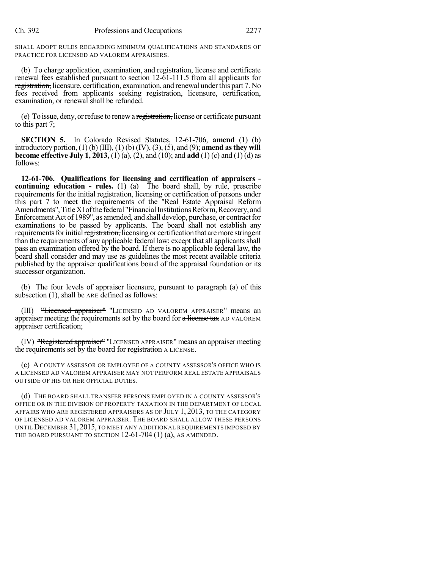SHALL ADOPT RULES REGARDING MINIMUM QUALIFICATIONS AND STANDARDS OF PRACTICE FOR LICENSED AD VALOREM APPRAISERS.

(b) To charge application, examination, and registration, license and certificate renewal fees established pursuant to section 12-61-111.5 from all applicants for registration, licensure, certification, examination, and renewal under this part 7. No fees received from applicants seeking registration, licensure, certification, examination, or renewal shall be refunded.

(e) To issue, deny, orrefuse to renewa registration, license or certificate pursuant to this part 7;

**SECTION 5.** In Colorado Revised Statutes, 12-61-706, **amend** (1) (b) introductory portion, (1) (b) (III), (1) (b) (IV), (3), (5), and (9); **amend asthey will become effective July 1, 2013,** (1) (a), (2), and (10); and **add** (1) (c) and (1) (d) as follows:

**12-61-706. Qualifications for licensing and certification of appraisers continuing education - rules.** (1) (a) The board shall, by rule, prescribe requirements for the initial registration, licensing or certification of persons under this part 7 to meet the requirements of the "Real Estate Appraisal Reform Amendments", Title XI of the federal "Financial Institutions Reform, Recovery, and Enforcement Act of 1989", as amended, and shall develop, purchase, or contract for examinations to be passed by applicants. The board shall not establish any requirements for initial registration, licensing or certification that are more stringent than the requirements of any applicable federal law; except that all applicants shall pass an examination offered by the board. If there is no applicable federal law, the board shall consider and may use as guidelines the most recent available criteria published by the appraiser qualifications board of the appraisal foundation or its successor organization.

(b) The four levels of appraiser licensure, pursuant to paragraph (a) of this subsection (1), shall be ARE defined as follows:

(III) "Licensed appraiser" "LICENSED AD VALOREM APPRAISER" means an appraiser meeting the requirements set by the board for a license tax AD VALOREM appraiser certification;

(IV) "Registered appraiser" "LICENSED APPRAISER" means an appraiser meeting the requirements set by the board for registration A LICENSE.

(c) ACOUNTY ASSESSOR OR EMPLOYEE OF A COUNTY ASSESSOR'S OFFICE WHO IS A LICENSED AD VALOREM APPRAISER MAY NOT PERFORM REAL ESTATE APPRAISALS OUTSIDE OF HIS OR HER OFFICIAL DUTIES.

(d) THE BOARD SHALL TRANSFER PERSONS EMPLOYED IN A COUNTY ASSESSOR'S OFFICE OR IN THE DIVISION OF PROPERTY TAXATION IN THE DEPARTMENT OF LOCAL AFFAIRS WHO ARE REGISTERED APPRAISERS AS OF JULY 1, 2013, TO THE CATEGORY OF LICENSED AD VALOREM APPRAISER. THE BOARD SHALL ALLOW THESE PERSONS UNTIL DECEMBER 31, 2015, TO MEET ANY ADDITIONAL REQUIREMENTS IMPOSED BY THE BOARD PURSUANT TO SECTION 12-61-704 (1) (a), AS AMENDED.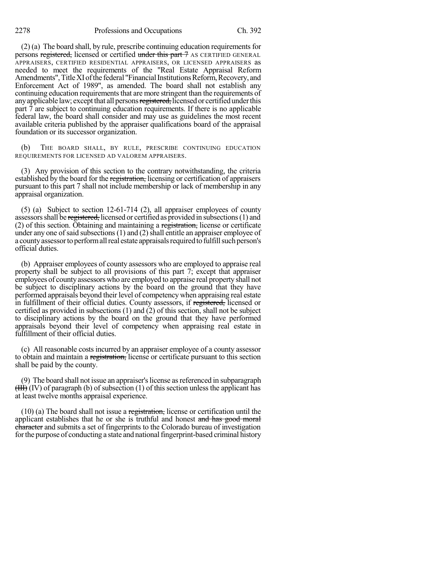2278 Professions and Occupations Ch. 392

 $(2)$  (a) The board shall, by rule, prescribe continuing education requirements for persons registered, licensed or certified under this part 7 AS CERTIFIED GENERAL APPRAISERS, CERTIFIED RESIDENTIAL APPRAISERS, OR LICENSED APPRAISERS as needed to meet the requirements of the "Real Estate Appraisal Reform Amendments", Title XI of the federal "Financial Institutions Reform, Recovery, and Enforcement Act of 1989", as amended. The board shall not establish any continuing education requirements that are more stringent than the requirements of any applicable law; except that all persons registered, licensed or certified under this part 7 are subject to continuing education requirements. If there is no applicable federal law, the board shall consider and may use as guidelines the most recent available criteria published by the appraiser qualifications board of the appraisal foundation or its successor organization.

(b) THE BOARD SHALL, BY RULE, PRESCRIBE CONTINUING EDUCATION REQUIREMENTS FOR LICENSED AD VALOREM APPRAISERS.

(3) Any provision of this section to the contrary notwithstanding, the criteria established by the board for the registration, licensing or certification of appraisers pursuant to this part 7 shall not include membership or lack of membership in any appraisal organization.

(5) (a) Subject to section 12-61-714 (2), all appraiser employees of county assessors shall be registered, licensed or certified as provided in subsections (1) and (2) of this section. Obtaining and maintaining a registration, license or certificate under any one of said subsections  $(1)$  and  $(2)$  shall entitle an appraiser employee of a county assessor to perform all real estate appraisals required to fulfill such person's official duties.

(b) Appraiser employees of county assessors who are employed to appraise real property shall be subject to all provisions of this part 7; except that appraiser employees of county assessors who are employed to appraise real property shall not be subject to disciplinary actions by the board on the ground that they have performed appraisals beyond their level of competencywhen appraising real estate in fulfillment of their official duties. County assessors, if registered, licensed or certified as provided in subsections (1) and (2) of this section, shall not be subject to disciplinary actions by the board on the ground that they have performed appraisals beyond their level of competency when appraising real estate in fulfillment of their official duties.

(c) All reasonable costs incurred by an appraiser employee of a county assessor to obtain and maintain a registration, license or certificate pursuant to this section shall be paid by the county.

(9) The board shall not issue an appraiser'slicense asreferenced in subparagraph  $(HH)$  (IV) of paragraph (b) of subsection (1) of this section unless the applicant has at least twelve months appraisal experience.

(10) (a) The board shall not issue a registration, license or certification until the applicant establishes that he or she is truthful and honest and has good moral character and submits a set of fingerprints to the Colorado bureau of investigation for the purpose of conducting a state and national fingerprint-based criminal history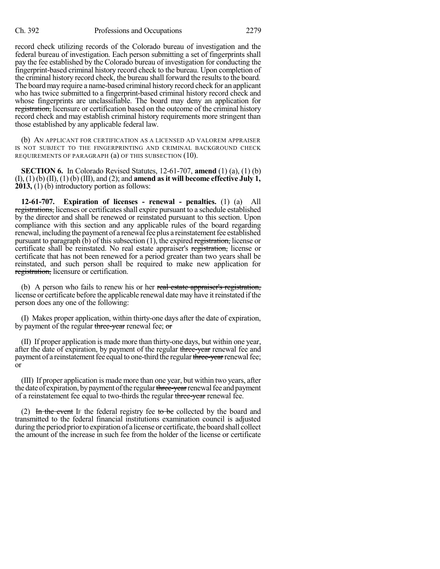record check utilizing records of the Colorado bureau of investigation and the federal bureau of investigation. Each person submitting a set of fingerprints shall pay the fee established by the Colorado bureau of investigation for conducting the fingerprint-based criminal history record check to the bureau. Upon completion of the criminal history record check, the bureau shall forward the results to the board. The board may require a name-based criminal history record check for an applicant who has twice submitted to a fingerprint-based criminal history record check and whose fingerprints are unclassifiable. The board may deny an application for registration, licensure or certification based on the outcome of the criminal history record check and may establish criminal history requirements more stringent than those established by any applicable federal law.

(b) AN APPLICANT FOR CERTIFICATION AS A LICENSED AD VALOREM APPRAISER IS NOT SUBJECT TO THE FINGERPRINTING AND CRIMINAL BACKGROUND CHECK REQUIREMENTS OF PARAGRAPH (a) OF THIS SUBSECTION (10).

**SECTION 6.** In Colorado Revised Statutes, 12-61-707, **amend** (1) (a), (1) (b) (I), (1) (b) (II), (1) (b) (III), and (2); and **amend asit will become effective July 1, 2013,** (1) (b) introductory portion as follows:

**12-61-707. Expiration of licenses - renewal - penalties.** (1) (a) All registrations, licenses or certificates shall expire pursuant to a schedule established by the director and shall be renewed or reinstated pursuant to this section. Upon compliance with this section and any applicable rules of the board regarding renewal, including the payment of a renewal fee plus a reinstatement fee established pursuant to paragraph (b) of this subsection (1), the expired registration, license or certificate shall be reinstated. No real estate appraiser's registration, license or certificate that has not been renewed for a period greater than two years shall be reinstated, and such person shall be required to make new application for registration, licensure or certification.

(b) A person who fails to renew his or her real estate appraiser's registration, license or certificate before the applicable renewal date may have it reinstated if the person does any one of the following:

(I) Makes proper application, within thirty-one days after the date of expiration, by payment of the regular three-year renewal fee; or

(II) If proper application is made more than thirty-one days, but within one year, after the date of expiration, by payment of the regular three-year renewal fee and payment of a reinstatement fee equal to one-third the regular three-year renewal fee; or

(III) If proper application is made more than one year, but within two years, after the date of expiration, by payment of the regular three-year renewal fee and payment of a reinstatement fee equal to two-thirds the regular three-year renewal fee.

(2) In the event If the federal registry fee to be collected by the board and transmitted to the federal financial institutions examination council is adjusted during the period prior to expiration of a license or certificate, the board shall collect the amount of the increase in such fee from the holder of the license or certificate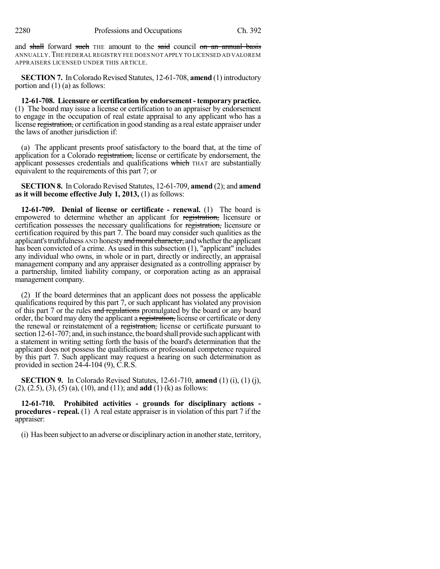and shall forward such THE amount to the said council on an annual basis ANNUALLY.THE FEDERAL REGISTRY FEE DOES NOT APPLY TO LICENSED AD VALOREM APPRAISERS LICENSED UNDER THIS ARTICLE.

**SECTION 7.** In Colorado Revised Statutes, 12-61-708, **amend** (1) introductory portion and (1) (a) as follows:

**12-61-708. Licensure or certification by endorsement - temporary practice.** (1) The board may issue a license or certification to an appraiser by endorsement to engage in the occupation of real estate appraisal to any applicant who has a license registration, or certification in good standing as a real estate appraiser under the laws of another jurisdiction if:

(a) The applicant presents proof satisfactory to the board that, at the time of application for a Colorado registration, license or certificate by endorsement, the applicant possesses credentials and qualifications which THAT are substantially equivalent to the requirements of this part 7; or

**SECTION 8.** In Colorado Revised Statutes, 12-61-709, **amend** (2); and **amend as it will become effective July 1, 2013,** (1) as follows:

**12-61-709. Denial of license or certificate - renewal.** (1) The board is empowered to determine whether an applicant for registration, licensure or certification possesses the necessary qualifications for registration, licensure or certification required by this part 7. The board may consider such qualities as the applicant's truthfulness AND honesty and moral character, and whether the applicant has been convicted of a crime. As used in this subsection (1), "applicant" includes any individual who owns, in whole or in part, directly or indirectly, an appraisal management company and any appraiser designated as a controlling appraiser by a partnership, limited liability company, or corporation acting as an appraisal management company.

(2) If the board determines that an applicant does not possess the applicable qualifications required by this part 7, or such applicant has violated any provision of this part 7 or the rules and regulations promulgated by the board or any board order, the board may deny the applicant a registration, license or certificate or deny the renewal or reinstatement of a registration, license or certificate pursuant to section 12-61-707; and, in such instance, the board shall provide such applicant with a statement in writing setting forth the basis of the board's determination that the applicant does not possess the qualifications or professional competence required by this part 7. Such applicant may request a hearing on such determination as provided in section 24-4-104 (9), C.R.S.

**SECTION 9.** In Colorado Revised Statutes, 12-61-710, **amend** (1) (i), (1) (j), (2), (2.5), (3), (5) (a), (10), and (11); and **add** (1) (k) as follows:

**12-61-710. Prohibited activities - grounds for disciplinary actions procedures - repeal.** (1) A real estate appraiser is in violation of this part 7 if the appraiser:

(i) Has been subject to an adverse or disciplinaryaction in anotherstate, territory,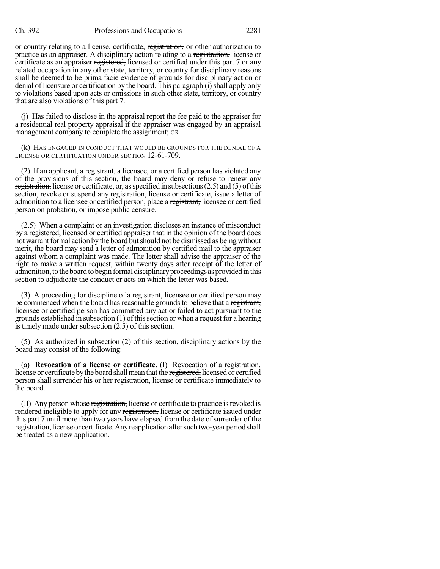## Ch. 392 Professions and Occupations 2281

or country relating to a license, certificate, registration, or other authorization to practice as an appraiser. A disciplinary action relating to a registration, license or certificate as an appraiser registered, licensed or certified under this part 7 or any related occupation in any other state, territory, or country for disciplinary reasons shall be deemed to be prima facie evidence of grounds for disciplinary action or denial of licensure or certification by the board. This paragraph  $(i)$  shall apply only to violations based upon acts or omissions in such other state, territory, or country that are also violations of this part 7.

(j) Has failed to disclose in the appraisal report the fee paid to the appraiser for a residential real property appraisal if the appraiser was engaged by an appraisal management company to complete the assignment; OR

(k) HAS ENGAGED IN CONDUCT THAT WOULD BE GROUNDS FOR THE DENIAL OF A LICENSE OR CERTIFICATION UNDER SECTION 12-61-709.

(2) If an applicant,  $\alpha$  registrant, a licensee, or a certified person has violated any of the provisions of this section, the board may deny or refuse to renew any registration, license or certificate, or, as specified in subsections  $(2.5)$  and  $(5)$  of this section, revoke or suspend any registration, license or certificate, issue a letter of admonition to a licensee or certified person, place a registrant, licensee or certified person on probation, or impose public censure.

(2.5) When a complaint or an investigation discloses an instance of misconduct by a registered, licensed or certified appraiser that in the opinion of the board does not warrant formal action by the board but should not be dismissed as being without merit, the board may send a letter of admonition by certified mail to the appraiser against whom a complaint was made. The letter shall advise the appraiser of the right to make a written request, within twenty days after receipt of the letter of admonition, to the board to begin formal disciplinary proceedings as provided in this section to adjudicate the conduct or acts on which the letter was based.

(3) A proceeding for discipline of a registrant, licensee or certified person may be commenced when the board has reasonable grounds to believe that a registrant, licensee or certified person has committed any act or failed to act pursuant to the grounds established in subsection  $(1)$  of this section or when a request for a hearing is timely made under subsection (2.5) of this section.

(5) As authorized in subsection (2) of this section, disciplinary actions by the board may consist of the following:

(a) **Revocation of a license or certificate.** (I) Revocation of a registration, license or certificate by the board shall mean that the registered, licensed or certified person shall surrender his or her registration, license or certificate immediately to the board.

(II) Any person whose registration, license or certificate to practice is revoked is rendered ineligible to apply for any registration, license or certificate issued under this part 7 until more than two years have elapsed from the date of surrender of the registration, license or certificate. Any reapplication after such two-year period shall be treated as a new application.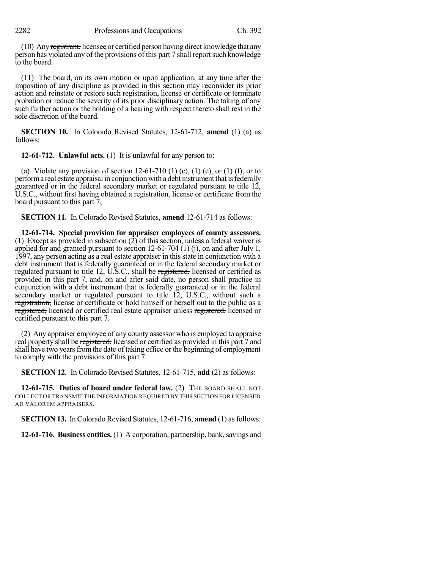(10) Anyregistrant, licensee or certified person having direct knowledge that any person has violated any of the provisions of this part 7 shall report such knowledge to the board.

(11) The board, on its own motion or upon application, at any time after the imposition of any discipline as provided in this section may reconsider its prior action and reinstate or restore such registration, license or certificate or terminate probation or reduce the severity of its prior disciplinary action. The taking of any such further action or the holding of a hearing with respect thereto shall rest in the sole discretion of the board.

**SECTION 10.** In Colorado Revised Statutes, 12-61-712, **amend** (1) (a) as follows:

**12-61-712. Unlawful acts.** (1) It is unlawful for any person to:

(a) Violate any provision of section  $12-61-710$  (1) (c), (1) (e), or (1) (f), or to perform a real estate appraisal in conjunction with a debt instrument that is federally guaranteed or in the federal secondary market or regulated pursuant to title 12, U.S.C., without first having obtained a registration, license or certificate from the board pursuant to this part 7;

**SECTION 11.** In Colorado Revised Statutes, **amend** 12-61-714 as follows:

**12-61-714. Special provision for appraiser employees of county assessors.** (1) Except as provided in subsection (2) of this section, unless a federal waiver is applied for and granted pursuant to section 12-61-704 (1) (j), on and after July 1, 1997, any person acting as a real estate appraiser in this state in conjunction with a debt instrument that is federally guaranteed or in the federal secondary market or regulated pursuant to title 12, U.S.C., shall be registered, licensed or certified as provided in this part 7, and, on and after said date, no person shall practice in conjunction with a debt instrument that is federally guaranteed or in the federal secondary market or regulated pursuant to title 12, U.S.C., without such a registration, license or certificate or hold himself or herself out to the public as a registered, licensed or certified real estate appraiser unless registered, licensed or certified pursuant to this part 7.

(2) Any appraiser employee of any county assessor who is employed to appraise real property shall be registered, licensed or certified as provided in this part 7 and shall have two years from the date of taking office or the beginning of employment to comply with the provisions of this part 7.

**SECTION 12.** In Colorado Revised Statutes, 12-61-715, **add** (2) as follows:

**12-61-715. Duties of board under federal law.** (2) THE BOARD SHALL NOT COLLECT OR TRANSMIT THE INFORMATION REQUIRED BY THIS SECTION FOR LICENSED AD VALOREM APPRAISERS.

**SECTION 13.** In Colorado Revised Statutes, 12-61-716, **amend** (1) as follows:

**12-61-716. Business entities.** (1) A corporation, partnership, bank, savings and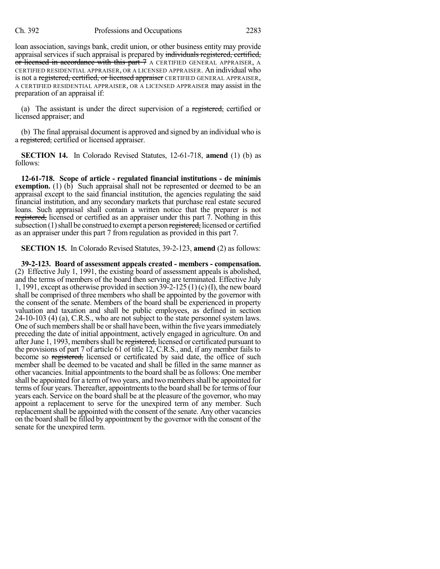loan association, savings bank, credit union, or other business entity may provide appraisal services if such appraisal is prepared by individuals registered, certified, or licensed in accordance with this part 7 A CERTIFIED GENERAL APPRAISER, A CERTIFIED RESIDENTIAL APPRAISER, OR A LICENSED APPRAISER. An individual who is not a registered, certified, or licensed appraiser CERTIFIED GENERAL APPRAISER, A CERTIFIED RESIDENTIAL APPRAISER, OR A LICENSED APPRAISER may assist in the preparation of an appraisal if:

(a) The assistant is under the direct supervision of a registered, certified or licensed appraiser; and

(b) The final appraisal document is approved and signed by an individual who is a registered, certified or licensed appraiser.

**SECTION 14.** In Colorado Revised Statutes, 12-61-718, **amend** (1) (b) as follows:

**12-61-718. Scope of article - regulated financial institutions - de minimis exemption.** (1) (b) Such appraisal shall not be represented or deemed to be an appraisal except to the said financial institution, the agencies regulating the said financial institution, and any secondary markets that purchase real estate secured loans. Such appraisal shall contain a written notice that the preparer is not registered, licensed or certified as an appraiser under this part 7. Nothing in this subsection (1) shall be construed to exempt a person registered, licensed or certified as an appraiser under this part 7 from regulation as provided in this part 7.

**SECTION 15.** In Colorado Revised Statutes, 39-2-123, **amend** (2) as follows:

**39-2-123. Board of assessment appeals created - members - compensation.** (2) Effective July 1, 1991, the existing board of assessment appeals is abolished, and the terms of members of the board then serving are terminated. Effective July 1, 1991, except as otherwise provided in section 39-2-125 (1) (c) (I), the new board shall be comprised of three members who shall be appointed by the governor with the consent of the senate. Members of the board shall be experienced in property valuation and taxation and shall be public employees, as defined in section 24-10-103 (4) (a), C.R.S., who are not subject to the state personnel system laws. One of such members shall be or shall have been, within the five years immediately preceding the date of initial appointment, actively engaged in agriculture. On and after June 1, 1993, members shall be registered, licensed or certificated pursuant to the provisions of part 7 of article 61 of title 12, C.R.S., and, if any member fails to become so registered, licensed or certificated by said date, the office of such member shall be deemed to be vacated and shall be filled in the same manner as other vacancies. Initial appointments to the board shall be as follows: One member shall be appointed for a term of two years, and two membersshall be appointed for terms of four years. Thereafter, appointmentsto the board shall be for terms of four years each. Service on the board shall be at the pleasure of the governor, who may appoint a replacement to serve for the unexpired term of any member. Such replacement shall be appointed with the consent of the senate. Any other vacancies on the board shall be filled by appointment by the governor with the consent of the senate for the unexpired term.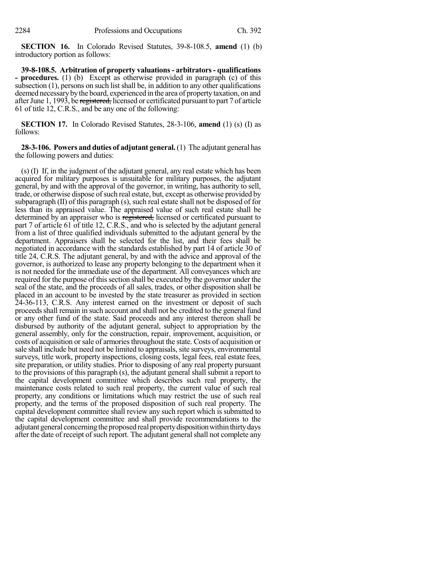**SECTION 16.** In Colorado Revised Statutes, 39-8-108.5, **amend** (1) (b) introductory portion as follows:

**39-8-108.5. Arbitration of property valuations- arbitrators- qualifications - procedures.** (1) (b) Except as otherwise provided in paragraph (c) of this subsection (1), persons on such list shall be, in addition to any other qualifications deemed necessary by the board, experienced in the area of property taxation, on and after June 1, 1993, be registered, licensed or certificated pursuant to part 7 of article 61 of title 12, C.R.S., and be any one of the following:

**SECTION 17.** In Colorado Revised Statutes, 28-3-106, **amend** (1) (s) (I) as follows:

**28-3-106. Powers and duties of adjutant general.**(1) The adjutant general has the following powers and duties:

(s) (I) If, in the judgment of the adjutant general, any real estate which has been acquired for military purposes is unsuitable for military purposes, the adjutant general, by and with the approval of the governor, in writing, has authority to sell, trade, or otherwise dispose of such real estate, but, except as otherwise provided by subparagraph (II) of this paragraph (s), such real estate shall not be disposed of for less than its appraised value. The appraised value of such real estate shall be determined by an appraiser who is registered, licensed or certificated pursuant to part 7 of article 61 of title 12, C.R.S., and who is selected by the adjutant general from a list of three qualified individuals submitted to the adjutant general by the department. Appraisers shall be selected for the list, and their fees shall be negotiated in accordance with the standards established by part 14 of article 30 of title 24, C.R.S. The adjutant general, by and with the advice and approval of the governor, is authorized to lease any property belonging to the department when it is not needed for the immediate use of the department. All conveyances which are required for the purpose of this section shall be executed by the governor under the seal of the state, and the proceeds of all sales, trades, or other disposition shall be placed in an account to be invested by the state treasurer as provided in section 24-36-113, C.R.S. Any interest earned on the investment or deposit of such proceedsshall remain in such account and shall not be credited to the general fund or any other fund of the state. Said proceeds and any interest thereon shall be disbursed by authority of the adjutant general, subject to appropriation by the general assembly, only for the construction, repair, improvement, acquisition, or costs of acquisition or sale of armories throughout the state. Costs of acquisition or sale shall include but need not be limited to appraisals, site surveys, environmental surveys, title work, property inspections, closing costs, legal fees, real estate fees, site preparation, or utility studies. Prior to disposing of any real property pursuant to the provisions of this paragraph (s), the adjutant general shall submit a report to the capital development committee which describes such real property, the maintenance costs related to such real property, the current value of such real property, any conditions or limitations which may restrict the use of such real property, and the terms of the proposed disposition of such real property. The capital development committee shall review any such report which is submitted to the capital development committee and shall provide recommendations to the adjutant general concerning the proposed real property disposition within thirty days after the date of receipt of such report. The adjutant general shall not complete any